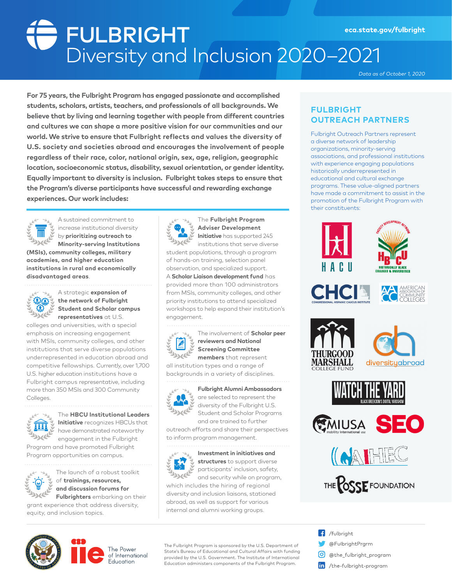# Strum Profession 2020–2021<br>Diversity and Inclusion 2020–2021 eca.state.gov/fulbright

*Data as of October 1, 2020*

**For 75 years, the Fulbright Program has engaged passionate and accomplished students, scholars, artists, teachers, and professionals of all backgrounds. We believe that by living and learning together with people from different countries and cultures we can shape a more positive vision for our communities and our world. We strive to ensure that Fulbright reflects and values the diversity of U.S. society and societies abroad and encourages the involvement of people regardless of their race, color, national origin, sex, age, religion, geographic location, socioeconomic status, disability, sexual orientation, or gender identity. Equally important to diversity is inclusion. Fulbright takes steps to ensure that the Program's diverse participants have successful and rewarding exchange experiences. Our work includes:**



A sustained commitment to increase institutional diversity by **prioritizing outreach to Minority-serving Institutions** 

**(MSIs), community colleges, military academies, and higher education institutions in rural and economically disadvantaged areas**.



A strategic **expansion of the network of Fulbright Student and Scholar campus representatives** at U.S.

colleges and universities, with a special emphasis on increasing engagement with MSIs, community colleges, and other institutions that serve diverse populations underrepresented in education abroad and competitive fellowships. Currently, over 1,700 U.S. higher education institutions have a Fulbright campus representative, including more than 350 MSIs and 300 Community Colleges.



The **HBCU Institutional Leaders Initiative** recognizes HBCUs that have demonstrated noteworthy engagement in the Fulbright

Program and have promoted Fulbright Program opportunities on campus.



The launch of a robust toolkit of **trainings, resources, and discussion forums for Fulbrighters** embarking on their

grant experience that address diversity, equity, and inclusion topics.



The **Fulbright Program Adviser Development Initiative** has supported 245

institutions that serve diverse student populations, through a program of hands-on training, selection panel observation, and specialized support. A **Scholar Liaison development fund** has provided more than 100 administrators from MSIs, community colleges, and other priority institutions to attend specialized workshops to help expand their institution's engagement.



The involvement of **Scholar peer reviewers and National Screening Committee members** that represent

all institution types and a range of backgrounds in a variety of disciplines.



are selected to represent the diversity of the Fulbright U.S. Student and Scholar Programs and are trained to further

**Fulbright Alumni Ambassadors** 

outreach efforts and share their perspectives to inform program management.



**Investment in initiatives and structures** to support diverse participants' inclusion, safety, and security while on program,

which includes the hiring of regional diversity and inclusion liaisons, stationed abroad, as well as support for various internal and alumni working groups.

## **FULBRIGHT OUTREACH PARTNERS**

Fulbright Outreach Partners represent a diverse network of leadership organizations, minority-serving associations, and professional institutions with experience engaging populations historically underrepresented in educational and cultural exchange programs. These value-aligned partners have made a commitment to assist in the promotion of the Fulbright Program with their constituents:

























The Fulbright Program is sponsored by the U.S. Department of State's Bureau of Educational and Cultural Affairs with funding provided by the U.S. Government. The Institute of International Education administers components of the Fulbright Program.

 $\left| \right|$  /fulbright @FulbrightPrgrm 0 @the\_fulbright\_program in /the-fulbright-program